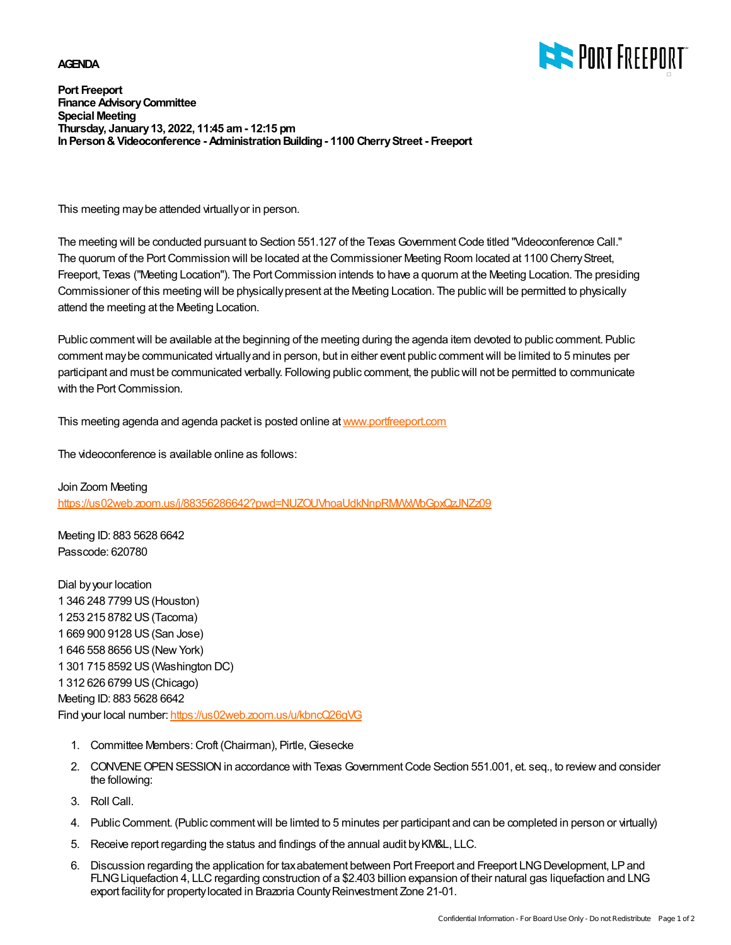## **AGENDA**



**Port Freeport Finance AdvisoryCommittee Special Meeting Thursday, January13, 2022, 11:45 am- 12:15 pm InPerson&Videoconference - AdministrationBuilding- 1100 CherryStreet - Freeport**

This meeting maybe attended virtuallyor in person.

The meeting will be conducted pursuant to Section 551.127 of the Texas GovernmentCode titled "Videoconference Call." The quorum of the Port Commission will be located at the Commissioner Meeting Room located at 1100 Cherry Street, Freeport, Texas ("Meeting Location"). The Port Commission intends to have a quorum at the Meeting Location. The presiding Commissioner of this meeting will be physicallypresent at the Meeting Location. The publicwill be permitted to physically attend the meeting at the Meeting Location.

Public comment will be available at the beginning of the meeting during the agenda item devoted to public comment. Public comment may be communicated virtually and in person, but in either event public comment will be limited to 5 minutes per participant and must be communicated verbally. Following public comment, the publicwill not be permitted to communicate with the Port Commission.

This meeting agenda and agenda packet is posted online at [www.portfreeport.com](http://www.portfreeport.com)

The videoconference is available online as follows:

Join Zoom Meeting <https://us02web.zoom.us/j/88356286642?pwd=NUZOUVhoaUdkNnpRMWxWbGpxQzJNZz09>

Meeting ID: 883 5628 6642 Passcode: 620780

Dial byyour location 346 248 7799 US(Houston) 253 215 8782 US(Tacoma) 669 900 9128 US(San Jose) 646 558 8656 US(NewYork) 301 715 8592 US(Washington DC) 312 626 6799 US(Chicago) Meeting ID: 883 5628 6642 Find your local number: <https://us02web.zoom.us/u/kbncQ26gVG>

- 1. Committee Members: Croft (Chairman), Pirtle, Giesecke
- 2. CONVENE OPEN SESSION in accordance with Texas Government Code Section 551.001, et. seq., to review and consider the following:
- 3. Roll Call.
- 4. Public Comment. (Public comment will be limted to 5 minutes per participant and can be completed in person or virtually)
- 5. Receive report regarding the status and findings of the annual audit byKM&L, LLC.
- 6. Discussion regarding the application for tax abatement between Port Freeport and Freeport LNG Development, LP and FLNG Liquefaction 4, LLC regarding construction of a \$2.403 billion expansion of their natural gas liquefaction and LNG export facility for property located in Brazoria County Reinvestment Zone 21-01.